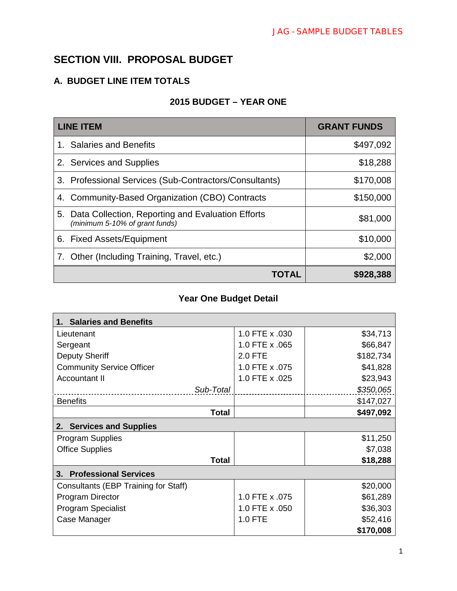### **SECTION VIII. PROPOSAL BUDGET**

#### **A. BUDGET LINE ITEM TOTALS**

#### **2015 BUDGET – YEAR ONE**

| <b>LINE ITEM</b>                                                                          | <b>GRANT FUNDS</b> |
|-------------------------------------------------------------------------------------------|--------------------|
| 1. Salaries and Benefits                                                                  | \$497,092          |
| 2. Services and Supplies                                                                  | \$18,288           |
| 3. Professional Services (Sub-Contractors/Consultants)                                    | \$170,008          |
| 4. Community-Based Organization (CBO) Contracts                                           | \$150,000          |
| Data Collection, Reporting and Evaluation Efforts<br>5.<br>(minimum 5-10% of grant funds) | \$81,000           |
| 6. Fixed Assets/Equipment                                                                 | \$10,000           |
| 7. Other (Including Training, Travel, etc.)                                               | \$2,000            |
| IOIAL                                                                                     | \$928,388          |

#### **Year One Budget Detail**

| <b>Salaries and Benefits</b>         |                |           |  |
|--------------------------------------|----------------|-----------|--|
| Lieutenant                           | 1.0 FTE x .030 | \$34,713  |  |
| Sergeant                             | 1.0 FTE x .065 | \$66,847  |  |
| <b>Deputy Sheriff</b>                | 2.0 FTE        | \$182,734 |  |
| <b>Community Service Officer</b>     | 1.0 FTE x .075 | \$41,828  |  |
| Accountant II                        | 1.0 FTE x .025 | \$23,943  |  |
| Sub-Total                            |                | \$350,065 |  |
| <b>Benefits</b>                      |                | \$147,027 |  |
| <b>Total</b>                         |                | \$497,092 |  |
| <b>Services and Supplies</b><br>2.   |                |           |  |
| <b>Program Supplies</b>              |                | \$11,250  |  |
| <b>Office Supplies</b>               |                | \$7,038   |  |
| <b>Total</b>                         |                | \$18,288  |  |
| <b>Professional Services</b><br>3.   |                |           |  |
| Consultants (EBP Training for Staff) |                | \$20,000  |  |
| <b>Program Director</b>              | 1.0 FTE x .075 | \$61,289  |  |
| <b>Program Specialist</b>            | 1.0 FTE x .050 | \$36,303  |  |
| Case Manager                         | 1.0 FTE        | \$52,416  |  |
|                                      |                | \$170,008 |  |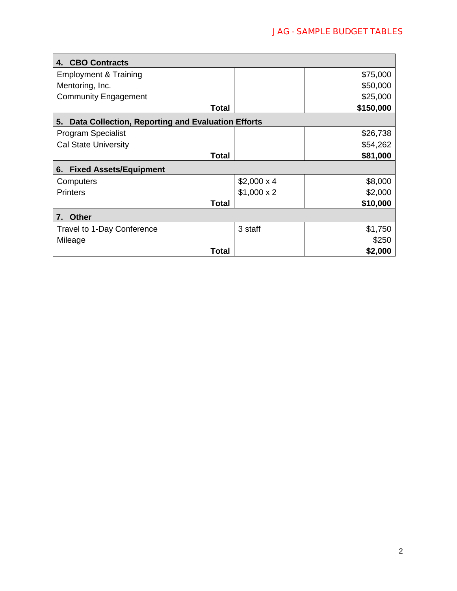| 4. CBO Contracts                                        |                   |           |
|---------------------------------------------------------|-------------------|-----------|
| <b>Employment &amp; Training</b>                        |                   | \$75,000  |
| Mentoring, Inc.                                         |                   | \$50,000  |
| <b>Community Engagement</b>                             |                   | \$25,000  |
| <b>Total</b>                                            |                   | \$150,000 |
| Data Collection, Reporting and Evaluation Efforts<br>5. |                   |           |
| <b>Program Specialist</b>                               |                   | \$26,738  |
| <b>Cal State University</b>                             |                   | \$54,262  |
| <b>Total</b>                                            |                   | \$81,000  |
| <b>Fixed Assets/Equipment</b><br>6.                     |                   |           |
| Computers                                               | $$2,000 \times 4$ | \$8,000   |
| <b>Printers</b>                                         | $$1,000 \times 2$ | \$2,000   |
| Total                                                   |                   | \$10,000  |
| <b>Other</b><br>7.                                      |                   |           |
| Travel to 1-Day Conference                              | 3 staff           | \$1,750   |
| Mileage                                                 |                   | \$250     |
| Total                                                   |                   | \$2,000   |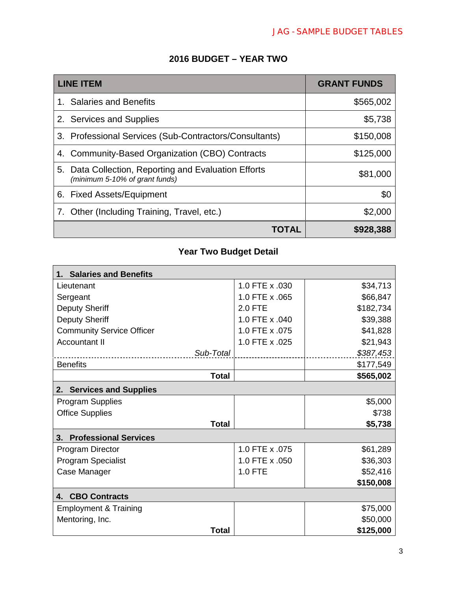### **2016 BUDGET – YEAR TWO**

| <b>LINE ITEM</b>                                                                       | <b>GRANT FUNDS</b> |
|----------------------------------------------------------------------------------------|--------------------|
| 1. Salaries and Benefits                                                               | \$565,002          |
| 2. Services and Supplies                                                               | \$5,738            |
| 3. Professional Services (Sub-Contractors/Consultants)                                 | \$150,008          |
| 4. Community-Based Organization (CBO) Contracts                                        | \$125,000          |
| 5. Data Collection, Reporting and Evaluation Efforts<br>(minimum 5-10% of grant funds) | \$81,000           |
| 6. Fixed Assets/Equipment                                                              | \$0                |
| 7. Other (Including Training, Travel, etc.)                                            | \$2,000            |
| <b>IOIAL</b>                                                                           | \$928,388          |

# **Year Two Budget Detail**

| <b>Salaries and Benefits</b><br>1. |                |           |  |
|------------------------------------|----------------|-----------|--|
| Lieutenant                         | 1.0 FTE x .030 | \$34,713  |  |
| Sergeant                           | 1.0 FTE x .065 | \$66,847  |  |
| <b>Deputy Sheriff</b>              | <b>2.0 FTE</b> | \$182,734 |  |
| <b>Deputy Sheriff</b>              | 1.0 FTE x .040 | \$39,388  |  |
| <b>Community Service Officer</b>   | 1.0 FTE x .075 | \$41,828  |  |
| <b>Accountant II</b>               | 1.0 FTE x .025 | \$21,943  |  |
| Sub-Total                          |                | \$387,453 |  |
| <b>Benefits</b>                    |                | \$177,549 |  |
| <b>Total</b>                       |                | \$565,002 |  |
| 2. Services and Supplies           |                |           |  |
| <b>Program Supplies</b>            |                | \$5,000   |  |
| <b>Office Supplies</b>             |                | \$738     |  |
| <b>Total</b>                       |                | \$5,738   |  |
| 3. Professional Services           |                |           |  |
| <b>Program Director</b>            | 1.0 FTE x .075 | \$61,289  |  |
| <b>Program Specialist</b>          | 1.0 FTE x .050 | \$36,303  |  |
| Case Manager                       | 1.0 FTE        | \$52,416  |  |
|                                    |                | \$150,008 |  |
| <b>CBO Contracts</b><br>4.         |                |           |  |
| <b>Employment &amp; Training</b>   |                | \$75,000  |  |
| Mentoring, Inc.                    |                | \$50,000  |  |
| <b>Total</b>                       |                | \$125,000 |  |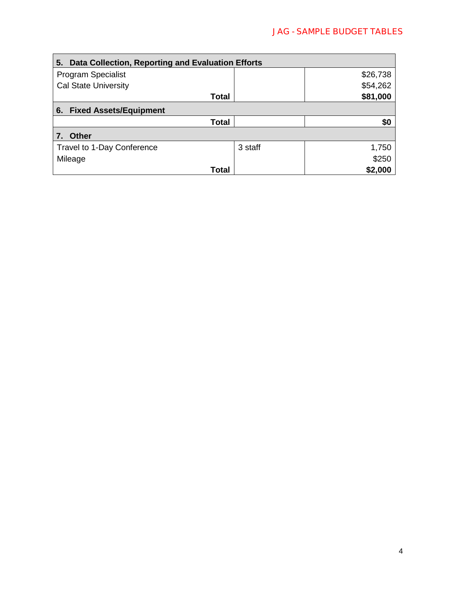| Data Collection, Reporting and Evaluation Efforts<br>5. |         |          |
|---------------------------------------------------------|---------|----------|
| <b>Program Specialist</b>                               |         | \$26,738 |
| <b>Cal State University</b>                             |         | \$54,262 |
| Total                                                   |         | \$81,000 |
| <b>Fixed Assets/Equipment</b><br>6.                     |         |          |
| Total                                                   |         | \$0      |
| <b>Other</b>                                            |         |          |
| Travel to 1-Day Conference                              | 3 staff | 1,750    |
| Mileage                                                 |         | \$250    |
| Total                                                   |         | \$2,000  |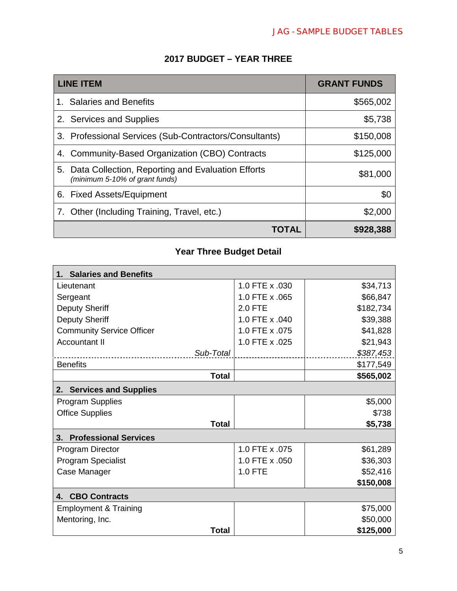| <b>LINE ITEM</b>                                                                       | <b>GRANT FUNDS</b> |
|----------------------------------------------------------------------------------------|--------------------|
| 1. Salaries and Benefits                                                               | \$565,002          |
| 2. Services and Supplies                                                               | \$5,738            |
| 3. Professional Services (Sub-Contractors/Consultants)                                 | \$150,008          |
| 4. Community-Based Organization (CBO) Contracts                                        | \$125,000          |
| 5. Data Collection, Reporting and Evaluation Efforts<br>(minimum 5-10% of grant funds) | \$81,000           |
| 6. Fixed Assets/Equipment                                                              | \$0                |
| 7. Other (Including Training, Travel, etc.)                                            | \$2,000            |
| TOTAL                                                                                  | \$928,388          |

# **Year Three Budget Detail**

| <b>Salaries and Benefits</b>       |                |           |
|------------------------------------|----------------|-----------|
| Lieutenant                         | 1.0 FTE x .030 | \$34,713  |
| Sergeant                           | 1.0 FTE x .065 | \$66,847  |
| <b>Deputy Sheriff</b>              | 2.0 FTE        | \$182,734 |
| <b>Deputy Sheriff</b>              | 1.0 FTE x .040 | \$39,388  |
| <b>Community Service Officer</b>   | 1.0 FTE x .075 | \$41,828  |
| <b>Accountant II</b>               | 1.0 FTE x .025 | \$21,943  |
| Sub-Total                          |                | \$387,453 |
| <b>Benefits</b>                    |                | \$177,549 |
| <b>Total</b>                       |                | \$565,002 |
| <b>Services and Supplies</b><br>2. |                |           |
| <b>Program Supplies</b>            |                | \$5,000   |
| <b>Office Supplies</b>             |                | \$738     |
| <b>Total</b>                       |                | \$5,738   |
| <b>Professional Services</b><br>3. |                |           |
| <b>Program Director</b>            | 1.0 FTE x .075 | \$61,289  |
| <b>Program Specialist</b>          | 1.0 FTE x .050 | \$36,303  |
| Case Manager                       | 1.0 FTE        | \$52,416  |
|                                    |                | \$150,008 |
| <b>CBO Contracts</b><br>4.         |                |           |
| <b>Employment &amp; Training</b>   |                | \$75,000  |
| Mentoring, Inc.                    |                | \$50,000  |
| Total                              |                | \$125,000 |